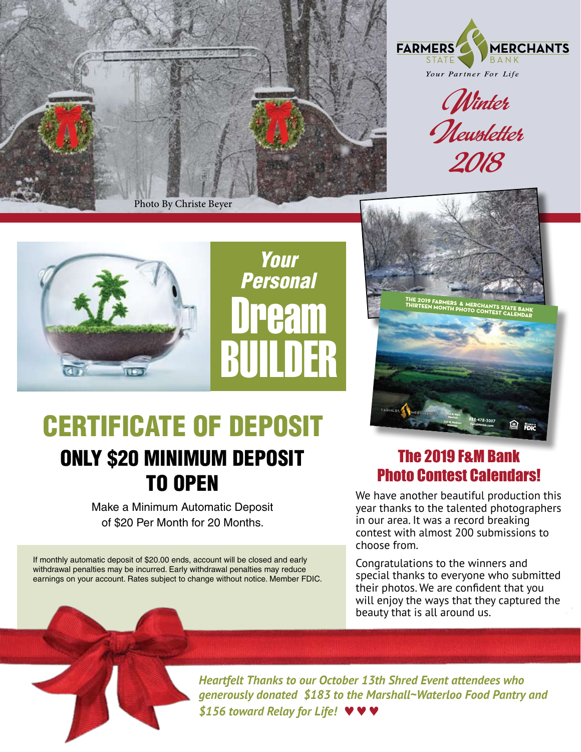



Winter<br>Mewsletter 2018



Dream BUILDER *Your Personal*



# CERTIFICATE OF DEPOSIT ONLY \$20 MINIMUM DEPOSIT TO OPEN

Make a Minimum Automatic Deposit of \$20 Per Month for 20 Months.

If monthly automatic deposit of \$20.00 ends, account will be closed and early withdrawal penalties may be incurred. Early withdrawal penalties may reduce earnings on your account. Rates subject to change without notice. Member FDIC.

#### The 2019 F&M Bank Photo Contest Calendars!

We have another beautiful production this year thanks to the talented photographers in our area. It was a record breaking contest with almost 200 submissions to choose from.

Congratulations to the winners and special thanks to everyone who submitted their photos. We are confident that you will enjoy the ways that they captured the beauty that is all around us.

*Heartfelt Thanks to our October 13th Shred Event attendees who generously donated \$183 to the Marshall~Waterloo Food Pantry and \$156 toward Relay for Life!* kkk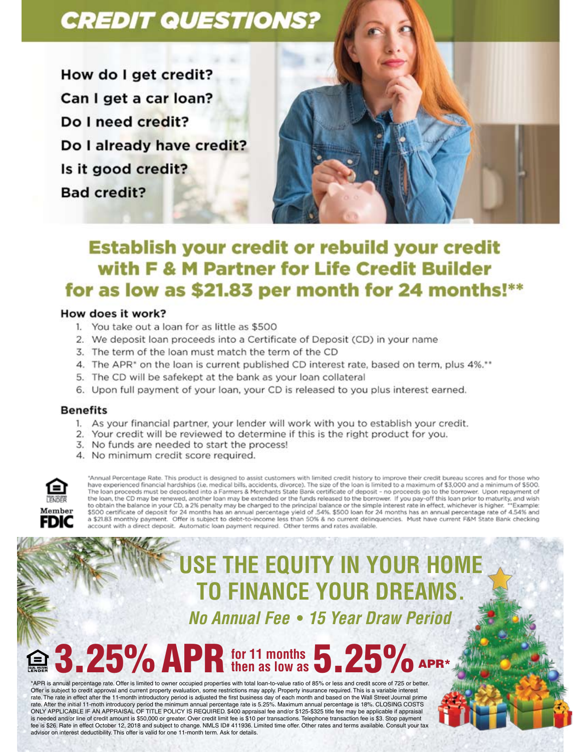## **CREDIT QUESTIONS?**

How do I get credit? Can I get a car loan? Do I need credit? Do I already have credit? Is it good credit? **Bad credit?** 



## **Establish your credit or rebuild your credit** with F & M Partner for Life Credit Builder for as low as \$21.83 per month for 24 months!\*\*

#### How does it work?

- 1. You take out a loan for as little as \$500
- 2. We deposit loan proceeds into a Certificate of Deposit (CD) in your name
- 3. The term of the loan must match the term of the CD
- 4. The APR\* on the loan is current published CD interest rate, based on term, plus 4%.\*\*
- 5. The CD will be safekept at the bank as your loan collateral
- 6. Upon full payment of your loan, your CD is released to you plus interest earned.

#### **Benefits**

- 1. As your financial partner, your lender will work with you to establish your credit.
- 2. Your credit will be reviewed to determine if this is the right product for you.
- 3. No funds are needed to start the process!
- 4. No minimum credit score required.



"Annual Percentage Rate. This product is designed to assist customers with limited credit history to improve their credit bureau scores and for those who have experienced financial hardships (i.e. medical bills, accidents, divorce). The size of the loan is limited to a maximum of \$3.000 and a minimum of \$500. The loan proceeds must be deposited into a Farmers & Merchants State Bank certificate of deposit - no proceeds go to the borrower. Upon repayment of the loan, the CD may be renewed, another loan may be extended or the funds released to the borrower. If you pay-off this loan prior to maturity, and wish<br>to obtain the balance in your CD, a 2% penalty may be charged to the o social the parameter in your CD, a zie perially my be charged to the pulliple of the simple interest rate in enterpret in the sumplet. Which the sumplet that and \$500 ban for 24 months has an annual percentage rate of 4. account with a direct deposit. Automatic loan payment required. Other terms and rates available

# **USE THE EQUITY IN YOUR HOME TO FINANCE YOUR DREAMS.**

No Annual Fee • 15 Year Draw Period

# $-25\%$  APR for 11 months  $5.25\%$

\*APR is annual perceptage rate. Offer is limited to owner occupied properties with total loan-to-value ratio of 85% or less and credit score of 725 or better Offer is subject to credit approval and current property evaluation, some restrictions may apply. Property insurance required. This is a variable interest rate. The rate in effect after the 11-month introductory period is adjusted the first business day of each month and based on the Wall Street Journal prime rate. After the initial 11-moth introducory period the minimum annual percentage rate is 5.25%. Maximum annual percentage is 18%. CLOSING COSTS ONLY APPLICABLE IF AN APPRAISAL OF TITLE POLICY IS REQUIRED. \$400 appraisal fee and/or \$125-\$325 title fee may be applicable if appraisal is needed and/or line of credit amount is \$50,000 or greater. Over credit limit fee is \$10 per transactions. Telephone transaction fee is \$3. Stop payment fee is \$26. Rate in effect October 12, 2018 and subject to change. NMLS ID# 411936. Limited time offer. Other rates and terms available. Consult your tax advisor on interest deductibility. This offer is valid for one 11-month term. Ask for details.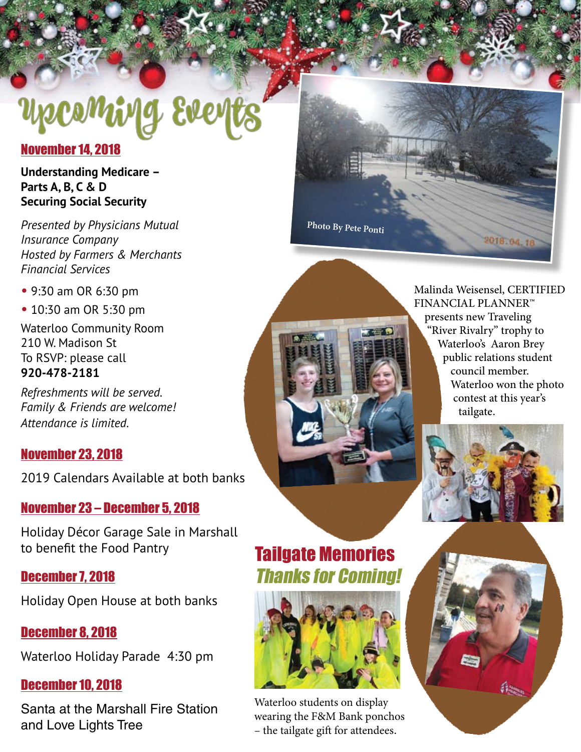# yecoming Ever

#### November 14, 2018

**Understanding Medicare – Parts A, B, C & D Securing Social Security**

*Presented by Physicians Mutual Insurance Company Hosted by Farmers & Merchants Financial Services*

• 9:30 am OR 6:30 pm

• 10:30 am OR 5:30 pm

Waterloo Community Room 210 W. Madison St To RSVP: please call **920-478-2181**

*Refreshments will be served. Family & Friends are welcome! Attendance is limited.*

#### November 23, 2018

2019 Calendars Available at both banks

#### November 23 – December 5, 2018

Holiday Décor Garage Sale in Marshall to benefit the Food Pantry

#### December 7, 2018

Holiday Open House at both banks

#### December 8, 2018

Waterloo Holiday Parade 4:30 pm

#### December 10, 2018

Santa at the Marshall Fire Station and Love Lights Tree

**Photo By Pete Ponti**

Malinda Weisensel, CERTIFIED FINANCIAL PLANNER™ presents new Traveling "River Rivalry" trophy to Waterloo's Aaron Brey public relations student council member. Waterloo won the photo contest at this year's tailgate.

2018.04.18



# Tailgate Memories Thanks for Coming!



Waterloo students on display wearing the F&M Bank ponchos – the tailgate gift for attendees.